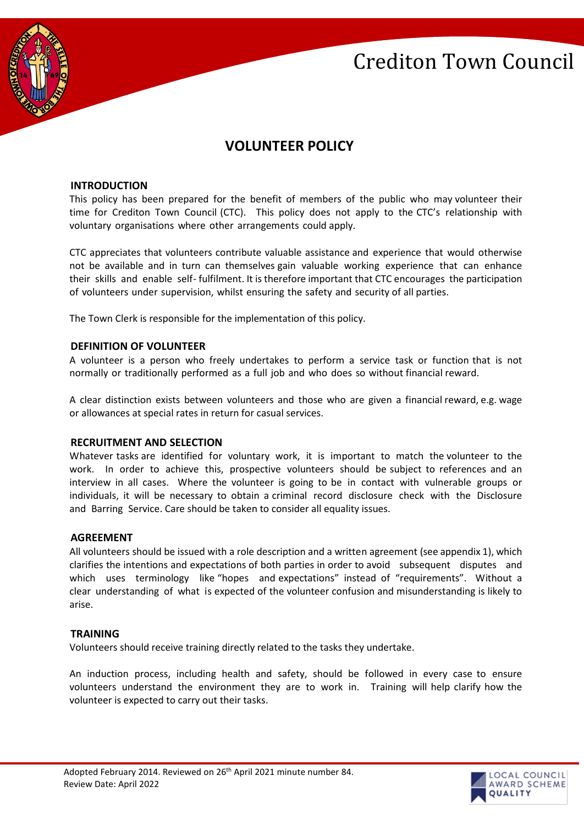



# **VOLUNTEER POLICY**

#### **INTRODUCTION**

This policy has been prepared for the benefit of members of the public who may volunteer their time for Crediton Town Council (CTC). This policy does not apply to the CTC's relationship with voluntary organisations where other arrangements could apply.

CTC appreciates that volunteers contribute valuable assistance and experience that would otherwise not be available and in turn can themselves gain valuable working experience that can enhance their skills and enable self- fulfilment. It is therefore important that CTC encourages the participation of volunteers under supervision, whilst ensuring the safety and security of all parties.

The Town Clerk is responsible for the implementation of this policy.

#### **DEFINITION OF VOLUNTEER**

A volunteer is a person who freely undertakes to perform a service task or function that is not normally or traditionally performed as a full job and who does so without financial reward.

A clear distinction exists between volunteers and those who are given a financial reward, e.g. wage or allowances at special rates in return for casual services.

#### **RECRUITMENT AND SELECTION**

Whatever tasks are identified for voluntary work, it is important to match the volunteer to the work. In order to achieve this, prospective volunteers should be subject to references and an interview in all cases. Where the volunteer is going to be in contact with vulnerable groups or individuals, it will be necessary to obtain a criminal record disclosure check with the Disclosure and Barring Service. Care should be taken to consider all equality issues.

#### **AGREEMENT**

All volunteers should be issued with a role description and a written agreement (see appendix 1), which clarifies the intentions and expectations of both parties in order to avoid subsequent disputes and which uses terminology like "hopes and expectations" instead of "requirements". Without a clear understanding of what is expected of the volunteer confusion and misunderstanding is likely to arise.

#### **TRAINING**

Volunteers should receive training directly related to the tasks they undertake.

An induction process, including health and safety, should be followed in every case to ensure volunteers understand the environment they are to work in. Training will help clarify how the volunteer is expected to carry out their tasks.

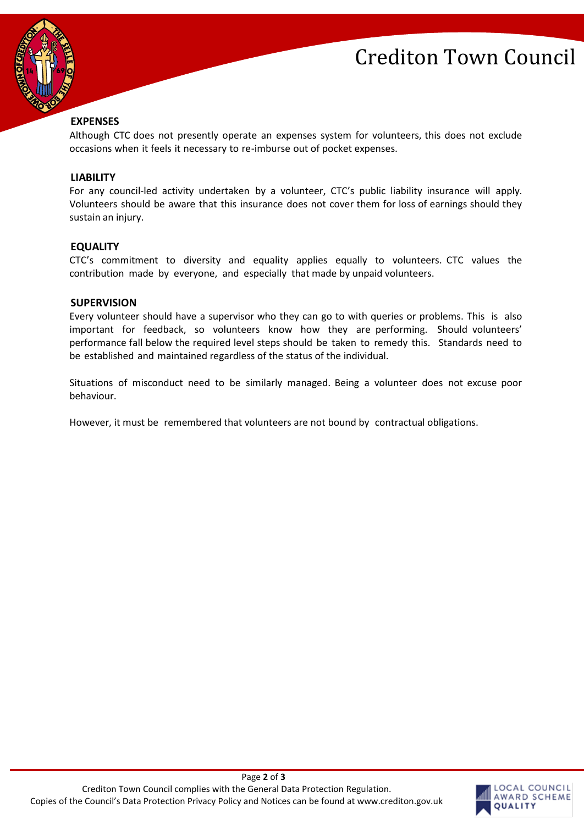



## **EXPENSES**

Although CTC does not presently operate an expenses system for volunteers, this does not exclude occasions when it feels it necessary to re-imburse out of pocket expenses.

#### **LIABILITY**

For any council-led activity undertaken by a volunteer, CTC's public liability insurance will apply. Volunteers should be aware that this insurance does not cover them for loss of earnings should they sustain an injury.

## **EQUALITY**

CTC's commitment to diversity and equality applies equally to volunteers. CTC values the contribution made by everyone, and especially that made by unpaid volunteers.

#### **SUPERVISION**

Every volunteer should have a supervisor who they can go to with queries or problems. This is also important for feedback, so volunteers know how they are performing. Should volunteers' performance fall below the required level steps should be taken to remedy this. Standards need to be established and maintained regardless of the status of the individual.

Situations of misconduct need to be similarly managed. Being a volunteer does not excuse poor behaviour.

However, it must be remembered that volunteers are not bound by contractual obligations.